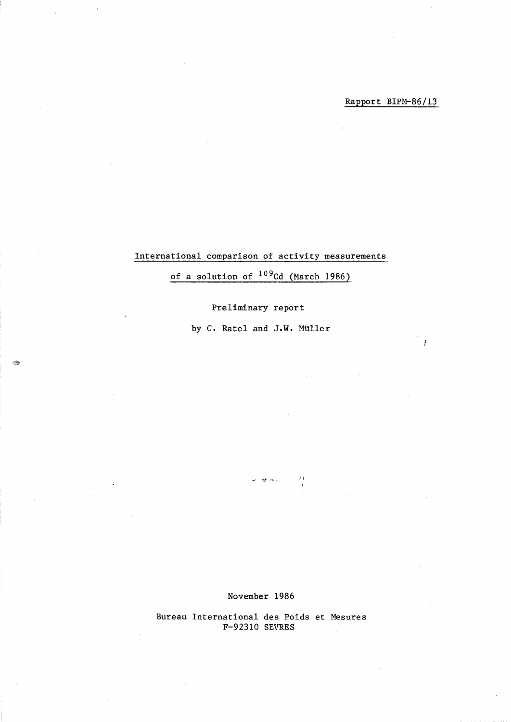$\overline{I}$ 

## International comparison of activity measurements

# of a solution of  $109$ Cd (March 1986)

### Preliminary report

by G. Ratel and J.W. MUller

i Par

#### November 1986

*".1* **"!t** ,-., \ ;Ii

Bureau International des Poids et Mesures F-92310 SEVRES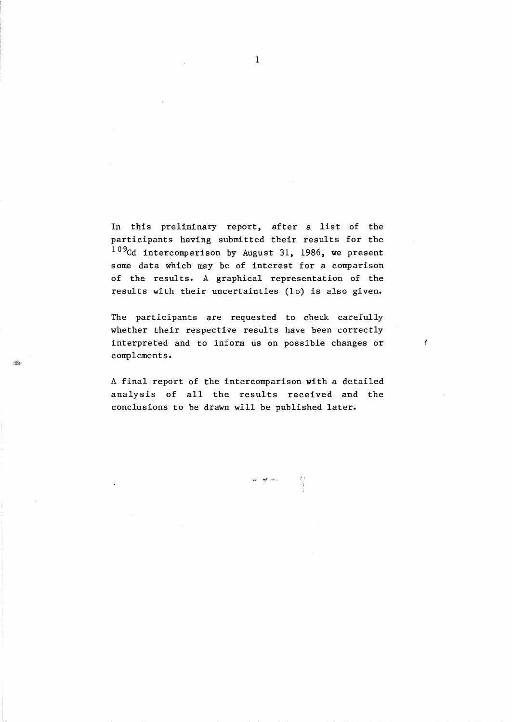In this preliminary report, after a list of the participants having submitted their results for the  $^{109}$ Cd intercomparison by August 31, 1986, we present some data which may be of interest for a comparison of the results. A graphical representation of the results with their uncertainties *(la)* is also given.

The participants are requested to check carefully whether their respective results have been correctly interpreted and to inform us on possible changes or complements.

J.

A final report of the intercomparison with a detailed analysis of all the results received and the conclusions to be drawn will be published later.

 $\Delta_{\rm k}$  and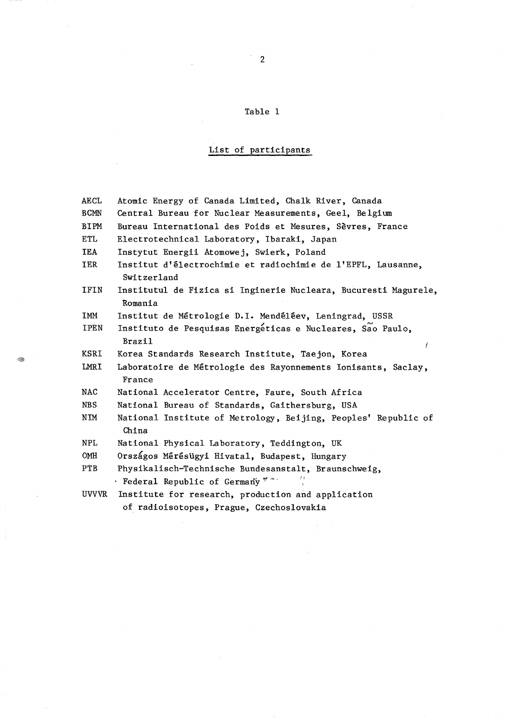### Table 1

# List of participants

| AECL         | Atomic Energy of Canada Limited, Chalk River, Canada                             |  |  |  |  |  |  |  |
|--------------|----------------------------------------------------------------------------------|--|--|--|--|--|--|--|
| <b>BCMN</b>  | Central Bureau for Nuclear Measurements, Geel, Belgium                           |  |  |  |  |  |  |  |
| BIPM         | Bureau International des Poids et Mesures, Sèvres, France                        |  |  |  |  |  |  |  |
| ETL          | Electrotechnical Laboratory, Ibaraki, Japan                                      |  |  |  |  |  |  |  |
| IEA          | Instytut Energii Atomowej, Swierk, Poland                                        |  |  |  |  |  |  |  |
| IER          | Institut d'électrochimie et radiochimie de l'EPFL, Lausanne,<br>Switzerland      |  |  |  |  |  |  |  |
| IFIN         | Institutul de Fizica si Inginerie Nucleara, Bucuresti Magurele,                  |  |  |  |  |  |  |  |
|              | Romania                                                                          |  |  |  |  |  |  |  |
| IMM          | Institut de Métrologie D.I. Mendéléev, Leningrad, USSR                           |  |  |  |  |  |  |  |
| IPEN         | Instituto de Pesquisas Energéticas e Nucleares, São Paulo,<br><b>Brazil</b><br>ŧ |  |  |  |  |  |  |  |
| KSRI         | Korea Standards Research Institute, Taejon, Korea                                |  |  |  |  |  |  |  |
| LMRI         | Laboratoire de Métrologie des Rayonnements Ionisants, Saclay,<br>France          |  |  |  |  |  |  |  |
| <b>NAC</b>   | National Accelerator Centre, Faure, South Africa                                 |  |  |  |  |  |  |  |
| <b>NBS</b>   | National Bureau of Standards, Gaithersburg, USA                                  |  |  |  |  |  |  |  |
| ΝIΜ          | National Institute of Metrology, Beijing, Peoples' Republic of<br>China          |  |  |  |  |  |  |  |
| <b>NPL</b>   | National Physical Laboratory, Teddington, UK                                     |  |  |  |  |  |  |  |
| OMH          | Országos Mérésügyi Hivatal, Budapest, Hungary                                    |  |  |  |  |  |  |  |
| PTB          | Physikalisch-Technische Bundesanstalt, Braunschweig,                             |  |  |  |  |  |  |  |
|              | · Federal Republic of Germany * ***                                              |  |  |  |  |  |  |  |
| <b>UVVVR</b> | Institute for research, production and application                               |  |  |  |  |  |  |  |

of radioisotopes, Prague, Czechoslovakia

 $\mathcal{L}$ 

 $\bar{z}$ 

 $\bar{\mathcal{A}}$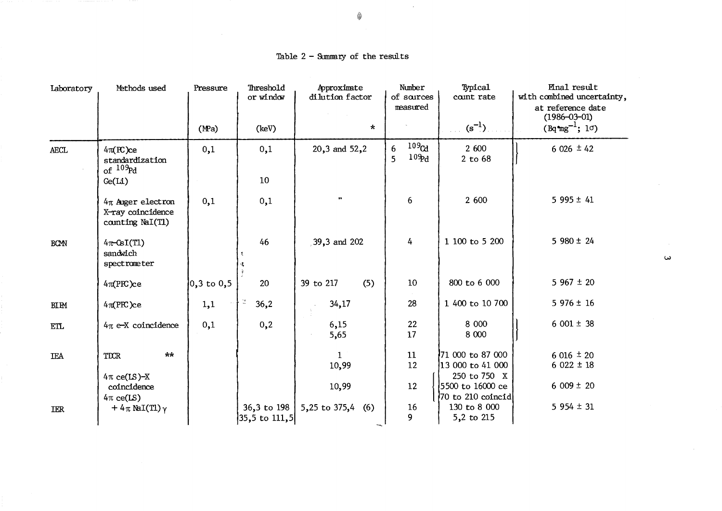| Laboratory           | Methods used                                                   | Pressure       | Threshold<br>or window                    | Approximate<br>dilution factor | Number<br>of sources<br>measured                | Typical<br>count rate                                                      | <b>Hinal</b> result<br>with combined uncertainty,<br>at reference date<br>$(1986 - 03 - 01)$ |
|----------------------|----------------------------------------------------------------|----------------|-------------------------------------------|--------------------------------|-------------------------------------------------|----------------------------------------------------------------------------|----------------------------------------------------------------------------------------------|
|                      |                                                                | (MPa)          | (keV)                                     | $\star$                        |                                                 | $(s^{-1})$                                                                 | $(Bq^m g^{-1}; 1\sigma)$                                                                     |
| AECL                 | $4\pi$ (FC)ce<br>standardization<br>of $^{109}$ Pd             | 0,1            | 0,1                                       | 20,3 and 52,2                  | 109 <sub>Cd</sub><br>6<br>10 <sub>2d</sub><br>5 | 2 600<br>2 to 68                                                           | $6026 \pm 42$                                                                                |
|                      | Ge(L1)                                                         |                | 10                                        |                                |                                                 |                                                                            |                                                                                              |
|                      | $4\pi$ Auger electron<br>X-ray coincidence<br>counting NaI(Tl) | 0,1            | 0,1                                       | $\bullet$                      | 6                                               | 2 600                                                                      | $5995 \pm 41$                                                                                |
| <b>BCM</b>           | $4\pi$ -CsI(T1)<br>sandwich<br>spectrometer                    |                | 46                                        | 39,3 and 202                   | 4                                               | 1 100 to 5 200                                                             | $5980 \pm 24$                                                                                |
|                      | 4π(PR)ce                                                       | $0,3$ to $0,5$ | 20                                        | 39 to 217<br>(5)               | 10 <sup>°</sup>                                 | 800 to 6 000                                                               | $5967 \pm 20$                                                                                |
| <b>BIPM</b>          | $4\pi$ (PRC)ce                                                 | 1,1            | $\mathbb{Q}^2$<br>36,2                    | 34,17                          | 28                                              | 1 400 to 10 700                                                            | $5976 \pm 16$                                                                                |
| $\operatorname{ETL}$ | $4\pi$ e-X coincidence                                         | 0,1            | 0,2                                       | 6,15<br>5,65                   | 22<br>17                                        | 8 000<br>8 0 0 0                                                           | $6001 \pm 38$                                                                                |
| <b>TEA</b>           | $**$<br><b>TDCR</b>                                            |                |                                           | $\mathbf{1}$<br>10,99          | 11<br>12                                        | 71 000 to 87 000<br>13 000 to 41 000                                       | $6016 \pm 20$<br>$6022 \pm 18$                                                               |
|                      | $4\pi$ ce(LS)-X<br>coincidence<br>$4\pi$ ce(LS)                |                |                                           | 10,99                          | 12                                              | 250 to 750 X<br>5500 to 16000 ce<br>$ 70 \text{ to } 210 \text{ coincid} $ | $6009 \pm 20$                                                                                |
| <b>IER</b>           | + $4\pi$ NaI(T1) $\gamma$                                      |                | 36,3 to 198<br>$ 35,5 \text{ to } 111,5 $ | 5,25 to 375,4<br>(6)           | 16<br>9                                         | 130 to 8 000<br>5,2 to 215                                                 | $5954 \pm 31$                                                                                |

Table  $2$  - Summary of the results

\$

 $\mathcal{L}^{\mathcal{L}}$ 

 $\omega$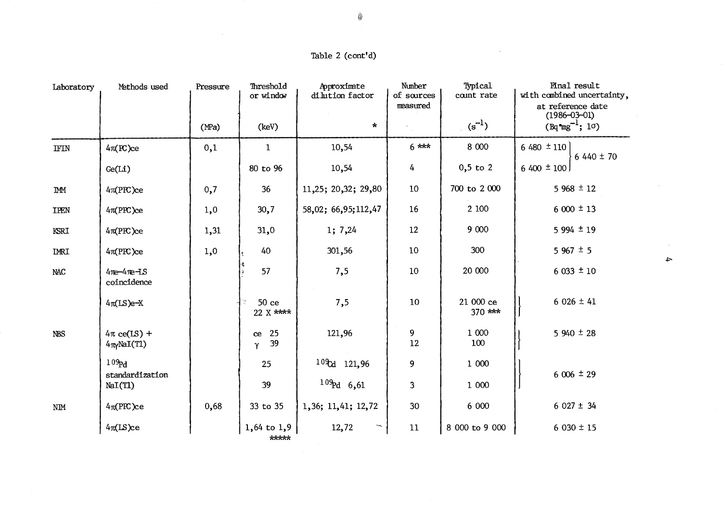# Table 2 (cont'd)

 $\sim$ 

| Laboratory                 | Methods used                                        | Pressure | Threshold<br>or window    | Approximate<br>dilution factor | Number<br>of sources<br>measured | Typical<br>count rate  | <b>Final result</b><br>with combined uncertainty,<br>at reference date<br>$(1986 - 03 - 01)$ |
|----------------------------|-----------------------------------------------------|----------|---------------------------|--------------------------------|----------------------------------|------------------------|----------------------------------------------------------------------------------------------|
|                            |                                                     | (MPa)    | (key)                     | $\star$                        |                                  | $(s^{-1})$             | $(Bq^m g^{-1}; 10)$                                                                          |
| $\rm IFIN$                 | 4π(PC)ce                                            | 0,1      | $\mathbf{1}$              | 10,54                          | $6***$                           | 8 000                  | 6 480 $\pm$ 110<br>$6440 \pm 70$                                                             |
|                            | Ge(L1)                                              |          | 80 to 96                  | 10,54                          | 4                                | $0,5$ to $2$           | $6,400 \pm 100$                                                                              |
| <b>IMM</b>                 | 4π(PPC)ce                                           | 0,7      | 36                        | 11,25; 20,32; 29,80            | 10                               | 700 to 2 000           | $5968 \pm 12$                                                                                |
| <b>IPEN</b>                | 4π(PPC)ce                                           | 1,0      | 30,7                      | 58,02; 66,95; 112,47           | 16                               | 2 100                  | $6000 \pm 13$                                                                                |
| KSRI                       | 4π(PFC)ce                                           | 1,31     | 31,0                      | 1; 7,24                        | 12                               | 9 000                  | $5994 \pm 19$                                                                                |
| <b>IMRI</b>                | 4π(PPC)ce                                           | 1,0      | 40                        | 301,56                         | 10                               | 300                    | $5967 \pm 5$                                                                                 |
| <b>NAC</b>                 | 4 <sub>10</sub> -4 <sub>10</sub> -1S<br>coincidence |          | 57                        | 7,5                            | 10                               | 20 000                 | $6033 \pm 10$                                                                                |
|                            | $4\pi$ (LS)e-X                                      |          | 50 ce<br>22 X ****        | 7,5                            | 10                               | 21 000 ce<br>$370$ *** | $6026 \pm 41$                                                                                |
| <b>NBS</b>                 | $4\pi$ ce(LS) +<br>$4\pi$ MaI(T1)                   |          | 25<br>$\rm ce$<br>39<br>Υ | 121,96                         | 9<br>12                          | 1 000<br>100           | $5940 \pm 28$                                                                                |
|                            | 109 <sub>rd</sub><br>standardization                |          | 25                        | $10\text{°}$ d 121,96          | 9                                | 1 000                  | $6006 \pm 29$                                                                                |
|                            | NaI(T1)                                             |          | 39                        | $109rd$ 6,61                   | 3                                | 1 000                  |                                                                                              |
| $\text{N}\text{I}\text{M}$ | $4\pi$ (PFC)ce                                      | 0,68     | 33 to 35                  | 1,36; 11,41; 12,72             | 30                               | 6 000                  | $6027 \pm 34$                                                                                |
|                            | $4\pi$ (LS)ce                                       |          | $1,64$ to $1,9$<br>*****  | 12,72<br>$-a_{\alpha}$         | 11                               | 8 000 to 9 000         | $6030 \pm 15$                                                                                |

 $\sim$  $\rightarrow$ 

 $\sim$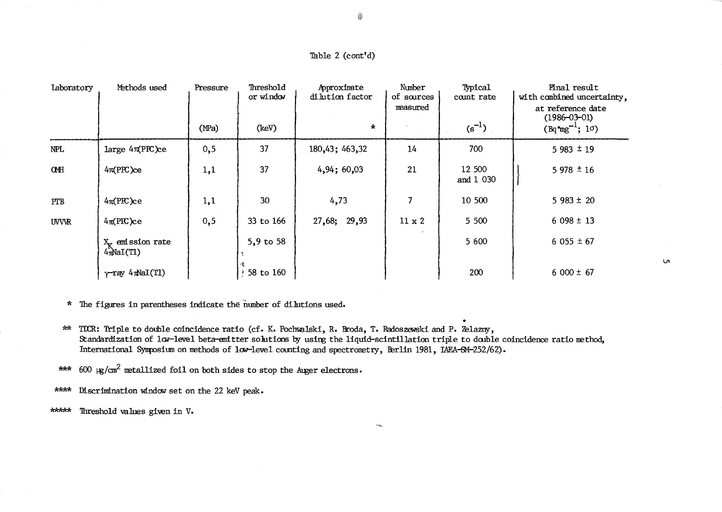| Laboratory  | Methods used                          | Pressure<br>(MPa) | Threshold<br>or window<br>(key) | Approximate<br>di lution factor<br>$\star$ | Number<br>of sources<br>measured | Typical<br>count rate<br>$(s^{-1})$ | Final result<br>with combined uncertainty,<br>at reference date<br>$(1986 - 03 - 01)$<br>$(Bq^m g^{-1}; 10)$ |
|-------------|---------------------------------------|-------------------|---------------------------------|--------------------------------------------|----------------------------------|-------------------------------------|--------------------------------------------------------------------------------------------------------------|
| <b>NPL</b>  | $large 4\pi(PFC)ce$                   | 0,5               | 37                              | 180,43; 463,32                             | 14                               | 700                                 | $5983 \pm 19$                                                                                                |
| <b>OMH</b>  | 4π(PPC)ce                             | 1,1               | 37                              | 4,94;60,03                                 | 21                               | 12 500<br>and 1 030                 | $5978 \pm 16$                                                                                                |
| <b>PTB</b>  | $4\pi$ (PFC)ce                        | 1,1               | 30                              | 4,73                                       | 7                                | 10 500                              | $5983 \pm 20$                                                                                                |
| <b>UVVR</b> | $4\pi$ (PRC)ce                        | 0,5               | 33 to 166                       | 27,68; 29,93                               | $11 \times 2$                    | 5 500                               | $6098 \pm 13$                                                                                                |
|             | $X_V$ emission rate<br>$4\pi$ NaI(T1) |                   | 5,9 to 58                       |                                            |                                  | 5 600                               | $6055 \pm 67$                                                                                                |
|             | $\gamma$ -ray 4 $\pi$ NaI(T1)         |                   | 58 to 160                       |                                            |                                  | 200                                 | $6000 \pm 67$                                                                                                |

- \* The figures in parentheses indicate the number of dilutions used.
- \*\* TDCR: Triple to double coincidence ratio (cf. K. Pochwalski, R. Broda, T. Radoszewski and P. Zelazny, Standardization of low-level beta-emitter solutions by using the liquid-scintillation triple to double coincidence ratio method, International Symposium on methods of low-level counting and spectrometry, Berlin 1981, IAEA-SM-252/62).
- \*\*\* 600  $\mu$ /cm<sup>2</sup> metallized foil on both sides to stop the Auger electrons.

\*\*\*\* Discrimination window set on the 22 keV peak.

\*\*\*\*\* Threshold values given in V.

 $\circledast$ 

Ln